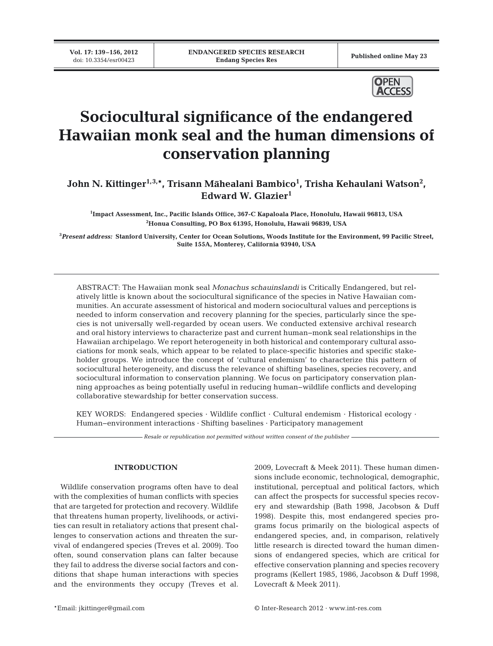**Vol. 17: 139–156, 2012**

Published online May 23



# **Sociocultural significance of the endangered Hawaiian monk seal and the human dimensions of conservation planning**

**John N. Kittinger1,3,\*, Trisann Māhealani Bambico1 , Trisha Kehaulani Watson2 , Edward W. Glazier1**

**1 Impact Assessment, Inc., Pacific Islands Office, 367-C Kapaloala Place, Honolulu, Hawaii 96813, USA 2 Honua Consulting, PO Box 61395, Honolulu, Hawaii 96839, USA**

**3** *Present address:* **Stanford University, Center for Ocean Solutions, Woods Institute for the Environment, 99 Pacific Street, Suite 155A, Monterey, California 93940, USA**

ABSTRACT: The Hawaiian monk seal *Monachus schauinslandi* is Critically Endangered, but relatively little is known about the sociocultural significance of the species in Native Hawaiian communities. An accurate assessment of historical and modern sociocultural values and perceptions is needed to inform conservation and recovery planning for the species, particularly since the species is not universally well-regarded by ocean users. We conducted extensive archival research and oral history interviews to characterize past and current human−monk seal relationships in the Hawaiian archipelago. We report heterogeneity in both historical and contemporary cultural associations for monk seals, which appear to be related to place-specific histories and specific stakeholder groups. We introduce the concept of 'cultural endemism' to characterize this pattern of sociocultural heterogeneity, and discuss the relevance of shifting baselines, species recovery, and sociocultural information to conservation planning. We focus on participatory conservation planning approaches as being potentially useful in reducing human−wildlife conflicts and developing collaborative stewardship for better conservation success.

KEY WORDS: Endangered species · Wildlife conflict · Cultural endemism · Historical ecology · Human−environment interactions · Shifting baselines · Participatory management

*Resale or republication not permitted without written consent of the publisher*

## **INTRODUCTION**

Wildlife conservation programs often have to deal with the complexities of human conflicts with species that are targeted for protection and recovery. Wildlife that threatens human property, livelihoods, or activities can result in retaliatory actions that present challenges to conservation actions and threaten the survival of endangered species (Treves et al. 2009). Too often, sound conservation plans can falter because they fail to address the diverse social factors and conditions that shape human interactions with species and the environments they occupy (Treves et al.

2009, Lovecraft & Meek 2011). These human dimensions include economic, technological, demographic, institutional, perceptual and political factors, which can affect the prospects for successful species recovery and stewardship (Bath 1998, Jacobson & Duff 1998). Despite this, most endangered species programs focus primarily on the biological aspects of endangered species, and, in comparison, relatively little research is directed toward the human dimensions of endangered species, which are critical for effective conservation planning and species recovery programs (Kellert 1985, 1986, Jacobson & Duff 1998, Lovecraft & Meek 2011).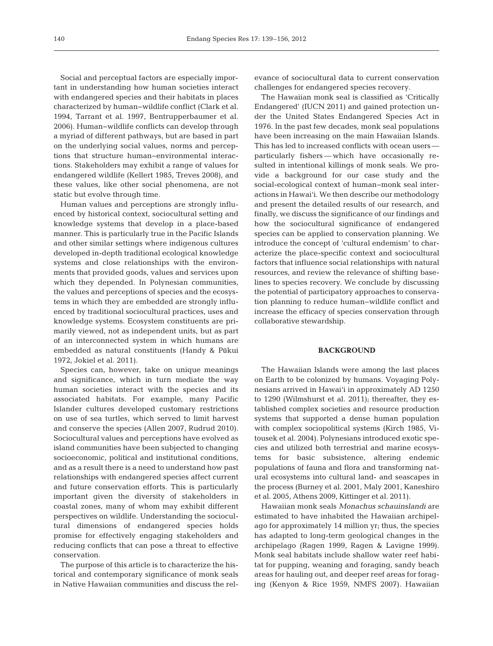Social and perceptual factors are especially important in understanding how human societies interact with endangered species and their habitats in places characterized by human−wildlife conflict (Clark et al. 1994, Tarrant et al. 1997, Bentrupperbaumer et al. 2006). Human−wildlife conflicts can develop through a myriad of different pathways, but are based in part on the underlying social values, norms and perceptions that structure human−environmental interactions. Stakeholders may exhibit a range of values for endangered wildlife (Kellert 1985, Treves 2008), and these values, like other social phenomena, are not static but evolve through time.

Human values and perceptions are strongly influenced by historical context, sociocultural setting and knowledge systems that develop in a place-based manner. This is particularly true in the Pacific Islands and other similar settings where indigenous cultures developed in-depth traditional ecological knowledge systems and close relationships with the environments that provided goods, values and services upon which they depended. In Polynesian communities, the values and perceptions of species and the ecosystems in which they are embedded are strongly influenced by traditional sociocultural practices, uses and knowledge systems. Ecosystem constituents are primarily viewed, not as independent units, but as part of an interconnected system in which humans are embedded as natural constituents (Handy & Pūkui 1972, Jokiel et al. 2011).

Species can, however, take on unique meanings and significance, which in turn mediate the way human societies interact with the species and its associated habitats. For example, many Pacific Islander cultures developed customary restrictions on use of sea turtles, which served to limit harvest and conserve the species (Allen 2007, Rudrud 2010). Sociocultural values and perceptions have evolved as island communities have been subjected to changing socioeconomic, political and institutional conditions, and as a result there is a need to understand how past relationships with endangered species affect current and future conservation efforts. This is particularly important given the diversity of stakeholders in coastal zones, many of whom may exhibit different perspectives on wildlife. Understanding the sociocultural dimensions of endangered species holds promise for effectively engaging stakeholders and reducing conflicts that can pose a threat to effective conservation.

The purpose of this article is to characterize the historical and contemporary significance of monk seals in Native Hawaiian communities and discuss the relevance of sociocultural data to current conservation challenges for endangered species recovery.

The Hawaiian monk seal is classified as 'Critically Endangered' (IUCN 2011) and gained protection under the United States Endangered Species Act in 1976. In the past few decades, monk seal populations have been increasing on the main Hawaiian Islands. This has led to increased conflicts with ocean users particularly fishers — which have occasionally resulted in intentional killings of monk seals. We provide a background for our case study and the social-ecological context of human−monk seal interactions in Hawai'i. We then describe our methodology and present the detailed results of our research, and finally, we discuss the significance of our findings and how the sociocultural significance of endangered species can be applied to conservation planning. We introduce the concept of 'cultural endemism' to characterize the place-specific context and sociocultural factors that influence social relationships with natural resources, and review the relevance of shifting baselines to species recovery. We conclude by discussing the potential of participatory approaches to conservation planning to reduce human−wildlife conflict and increase the efficacy of species conservation through collaborative stewardship.

## **BACKGROUND**

The Hawaiian Islands were among the last places on Earth to be colonized by humans. Voyaging Polynesians arrived in Hawai'i in approximately AD 1250 to 1290 (Wilmshurst et al. 2011); thereafter, they established complex societies and resource production systems that supported a dense human population with complex sociopolitical systems (Kirch 1985, Vitousek et al. 2004). Polynesians introduced exotic species and utilized both terrestrial and marine ecosystems for basic subsistence, altering endemic populations of fauna and flora and transforming natural ecosystems into cultural land- and seascapes in the process (Burney et al. 2001, Maly 2001, Kaneshiro et al. 2005, Athens 2009, Kittinger et al. 2011).

Hawaiian monk seals *Monachus schauinslandi* are estimated to have inhabited the Hawaiian archipelago for approximately 14 million yr; thus, the species has adapted to long-term geological changes in the archipelago (Ragen 1999, Ragen & Lavigne 1999). Monk seal habitats include shallow water reef habitat for pupping, weaning and foraging, sandy beach areas for hauling out, and deeper reef areas for foraging (Kenyon & Rice 1959, NMFS 2007). Hawaiian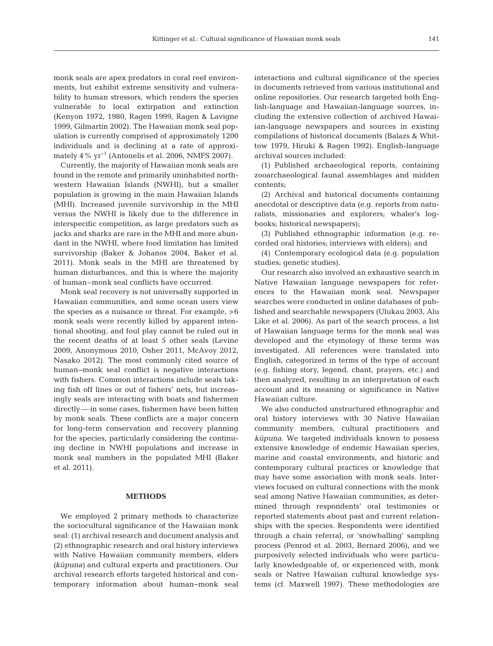monk seals are apex predators in coral reef environments, but exhibit extreme sensitivity and vulnerability to human stressors, which renders the species vulnerable to local extirpation and extinction (Kenyon 1972, 1980, Ragen 1999, Ragen & Lavigne 1999, Gilmartin 2002). The Hawaiian monk seal population is currently comprised of approximately 1200 individuals and is declining at a rate of approximately  $4\%$  yr<sup>-1</sup> (Antonelis et al. 2006, NMFS 2007).

Currently, the majority of Hawaiian monk seals are found in the remote and primarily uninhabited northwestern Hawaiian Islands (NWHI), but a smaller population is growing in the main Hawaiian Islands (MHI). Increased juvenile survivorship in the MHI versus the NWHI is likely due to the difference in interspecific competition, as large predators such as jacks and sharks are rare in the MHI and more abundant in the NWHI, where food limitation has limited survivorship (Baker & Johanos 2004, Baker et al. 2011). Monk seals in the MHI are threatened by human disturbances, and this is where the majority of human–monk seal conflicts have occurred.

Monk seal recovery is not universally supported in Hawaiian communities, and some ocean users view the species as a nuisance or threat. For example, >6 monk seals were recently killed by apparent intentional shooting, and foul play cannot be ruled out in the recent deaths of at least 5 other seals (Levine 2009, Anonymous 2010, Osher 2011, McAvoy 2012, Nasako 2012). The most commonly cited source of human−monk seal conflict is negative interactions with fishers. Common interactions include seals taking fish off lines or out of fishers' nets, but increasingly seals are interacting with boats and fishermen directly — in some cases, fishermen have been bitten by monk seals. These conflicts are a major concern for long-term conservation and recovery planning for the species, particularly considering the continuing decline in NWHI populations and increase in monk seal numbers in the populated MHI (Baker et al. 2011).

### **METHODS**

We employed 2 primary methods to characterize the sociocultural significance of the Hawaiian monk seal: (1) archival research and document analysis and (2) ethnographic research and oral history interviews with Native Hawaiian community members, elders *(kūpuna)* and cultural experts and practitioners. Our archival research efforts targeted historical and contemporary information about human−monk seal interactions and cultural significance of the species in documents retrieved from various institutional and online repositories. Our research targeted both English-language and Hawaiian-language sources, in cluding the extensive collection of archived Hawaiian-language newspapers and sources in existing compilations of historical documents (Balazs & Whittow 1979, Hiruki & Ragen 1992). English-language archival sources included:

(1) Published archaeological reports, containing zooarchaeological faunal assemblages and midden contents;

(2) Archival and historical documents containing anecdotal or descriptive data (e.g. reports from naturalists, missionaries and explorers; whaler's logbooks; historical newspapers);

(3) Published ethnographic information (e.g. re corded oral histories; interviews with elders); and

(4) Contemporary ecological data (e.g. population studies; genetic studies).

Our research also involved an exhaustive search in Native Hawaiian language newspapers for references to the Hawaiian monk seal. Newspaper searches were conducted in online databases of published and searchable newspapers (Ulukau 2003, Alu Like et al. 2006). As part of the search process, a list of Hawaiian language terms for the monk seal was developed and the etymology of these terms was investigated. All references were translated into English, categorized in terms of the type of account (e.g. fishing story, legend, chant, prayers, etc.) and then analyzed, resulting in an interpretation of each account and its meaning or significance in Native Hawaiian culture.

We also conducted unstructured ethnographic and oral history interviews with 30 Native Hawaiian community members, cultural practitioners and *kūpuna*. We targeted individuals known to possess extensive knowledge of endemic Hawaiian species, marine and coastal environments, and historic and contemporary cultural practices or knowledge that may have some association with monk seals. Interviews focused on cultural connections with the monk seal among Native Hawaiian communities, as determined through respondents' oral testimonies or reported statements about past and current relationships with the species. Respondents were identified through a chain referral, or 'snowballing' sampling process (Penrod et al. 2003, Bernard 2006), and we purposively selected individuals who were particularly knowledgeable of, or experienced with, monk seals or Native Hawaiian cultural knowledge systems (cf. Maxwell 1997). These methodologies are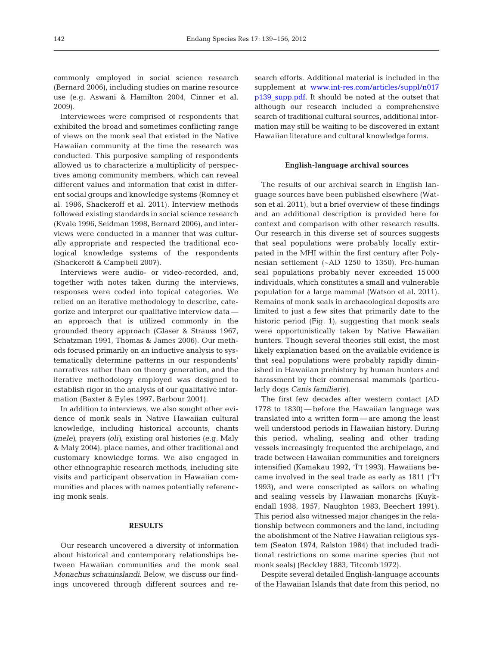commonly employed in social science research (Bernard 2006), including studies on marine resource use (e.g. Aswani & Hamilton 2004, Cinner et al. 2009).

Interviewees were comprised of respondents that exhibited the broad and sometimes conflicting range of views on the monk seal that existed in the Native Hawaiian community at the time the research was conducted. This purposive sampling of respondents allowed us to characterize a multiplicity of perspectives among community members, which can reveal different values and information that exist in different social groups and knowledge systems (Romney et al. 1986, Shackeroff et al. 2011). Interview methods followed existing standards in social science research (Kvale 1996, Seidman 1998, Bernard 2006), and interviews were conducted in a manner that was culturally appropriate and respected the traditional ecological knowledge systems of the respondents (Shackeroff & Campbell 2007).

Interviews were audio- or video-recorded, and, together with notes taken during the interviews, responses were coded into topical categories. We relied on an iterative methodology to describe, categorize and interpret our qualitative interview data an approach that is utilized commonly in the grounded theory approach (Glaser & Strauss 1967, Schatzman 1991, Thomas & James 2006). Our methods focused primarily on an inductive analysis to systematically determine patterns in our respondents' narratives rather than on theory generation, and the iterative methodology employed was designed to establish rigor in the analysis of our qualitative information (Baxter & Eyles 1997, Barbour 2001).

In addition to interviews, we also sought other evidence of monk seals in Native Hawaiian cultural knowledge, including historical accounts, chants *(mele)*, prayers *(oli)*, existing oral histories (e.g. Maly & Maly 2004), place names, and other traditional and customary knowledge forms. We also engaged in other ethnographic research methods, including site visits and participant observation in Hawaiian communities and places with names potentially referencing monk seals.

#### **RESULTS**

Our research uncovered a diversity of information about historical and contemporary relationships between Hawaiian communities and the monk seal *Monachus schauinslandi*. Below, we discuss our findings uncovered through different sources and research efforts. Additional material is included in the supplement at www.int-res.com/articles/suppl/n017 [p139\\_supp.pdf.](http://www.int-res.com/articles/suppl/n017p139_supp.pdf) It should be noted at the outset that although our research included a comprehensive search of traditional cultural sources, additional information may still be waiting to be discovered in extant Hawaiian literature and cultural knowledge forms.

#### **English-language archival sources**

The results of our archival search in English language sources have been published elsewhere (Watson et al. 2011), but a brief overview of these findings and an additional description is provided here for context and comparison with other research results. Our research in this diverse set of sources suggests that seal populations were probably locally extirpated in the MHI within the first century after Polynesian settlement (~AD 1250 to 1350). Pre-human seal populations probably never exceeded 15 000 individuals, which constitutes a small and vulnerable population for a large mammal (Watson et al. 2011). Remains of monk seals in archaeological deposits are limited to just a few sites that primarily date to the historic period (Fig. 1), suggesting that monk seals were opportunistically taken by Native Hawaiian hunters. Though several theories still exist, the most likely explanation based on the available evidence is that seal populations were probably rapidly diminished in Hawaiian prehistory by human hunters and harassment by their commensal mammals (particularly dogs *Canis familiaris)*.

The first few decades after western contact (AD 1778 to 1830) — before the Hawaiian language was translated into a written form — are among the least well understood periods in Hawaiian history. During this period, whaling, sealing and other trading vessels increasingly frequented the archipelago, and trade between Hawaiian communities and foreigners intensified (Kamakau 1992, 'Ī'ī 1993). Hawaiians became involved in the seal trade as early as 1811 ('Ī'ī 1993), and were conscripted as sailors on whaling and sealing vessels by Hawaiian monarchs (Kuykendall 1938, 1957, Naughton 1983, Beechert 1991). This period also witnessed major changes in the relationship between commoners and the land, including the abolishment of the Native Hawaiian religious system (Seaton 1974, Ralston 1984) that included traditional restrictions on some marine species (but not monk seals) (Beckley 1883, Titcomb 1972).

Despite several detailed English-language accounts of the Hawaiian Islands that date from this period, no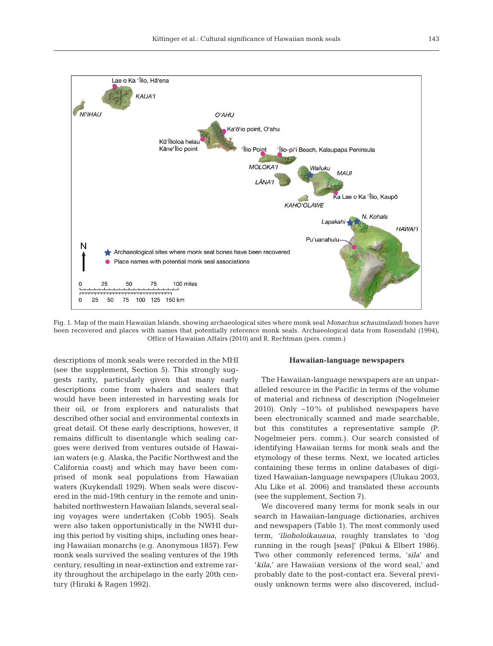

Fig. 1. Map of the main Hawaiian Islands, showing archaeological sites where monk seal *Monachus schauinslandi* bones have been recovered and places with names that potentially reference monk seals. Archaeological data from Rosendahl (1994), Office of Hawaiian Affairs (2010) and R. Rechtman (pers. comm.)

descriptions of monk seals were recorded in the MHI (see the supplement, Section 5). This strongly suggests rarity, particularly given that many early descriptions come from whalers and sealers that would have been interested in harvesting seals for their oil, or from explorers and naturalists that described other social and environmental contexts in great detail. Of these early descriptions, however, it remains difficult to disentangle which sealing cargoes were derived from ventures outside of Hawaiian waters (e.g. Alaska, the Pacific Northwest and the California coast) and which may have been comprised of monk seal populations from Hawaiian waters (Kuykendall 1929). When seals were discovered in the mid-19th century in the remote and uninhabited northwestern Hawaiian Islands, several sealing voyages were undertaken (Cobb 1905). Seals were also taken opportunistically in the NWHI during this period by visiting ships, including ones bearing Hawaiian monarchs (e.g. Anonymous 1857). Few monk seals survived the sealing ventures of the 19th century, resulting in near-extinction and extreme rarity throughout the archipelago in the early 20th century (Hiruki & Ragen 1992).

#### **Hawaiian-language newspapers**

The Hawaiian-language newspapers are an unparalleled resource in the Pacific in terms of the volume of material and richness of description (Nogelmeier 2010). Only ~10% of published newspapers have been electronically scanned and made searchable, but this constitutes a representative sample (P. Nogelmeier pers. comm.). Our search consisted of identifying Hawaiian terms for monk seals and the etymology of these terms. Next, we located articles containing these terms in online databases of digitized Hawaiian-language newspapers (Ulukau 2003, Alu Like et al. 2006) and translated these accounts (see the supplement, Section 7).

We discovered many terms for monk seals in our search in Hawaiian-language dictionaries, archives and newspapers (Table 1). The most commonly used term, '*ilioholoikauaua*, roughly translates to 'dog running in the rough [seas]' (Pūkui & Elbert 1986). Two other commonly referenced terms, '*sila*' and '*kila*,' are Hawaiian versions of the word seal,' and probably date to the post-contact era. Several previously unknown terms were also discovered, includ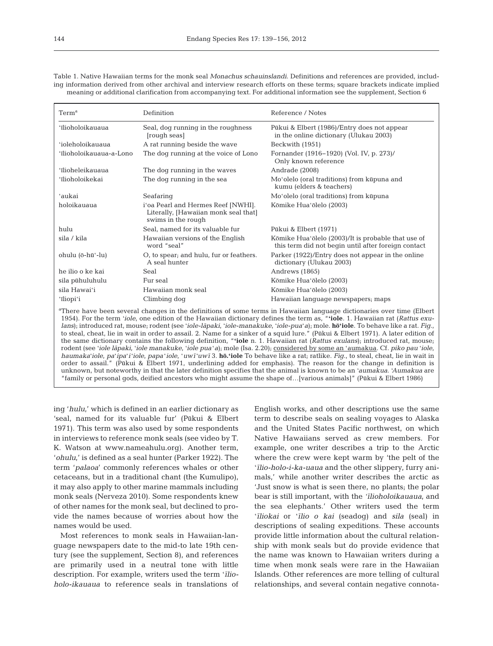Table 1. Native Hawaiian terms for the monk seal *Monachus schauinslandi*. Definitions and references are provided, including information derived from other archival and interview research efforts on these terms; square brackets indicate implied meaning or additional clarification from accompanying text. For additional information see the supplement, Section 6

| Term <sup>a</sup>       | Definition                                                                                       | Reference / Notes                                                                                         |
|-------------------------|--------------------------------------------------------------------------------------------------|-----------------------------------------------------------------------------------------------------------|
| 'īlioholoikauaua        | Seal, dog running in the roughness<br>[rough seas]                                               | Pūkui & Elbert (1986)/Entry does not appear<br>in the online dictionary (Ulukau 2003)                     |
| 'ioleholoikauaua        | A rat running beside the wave                                                                    | Beckwith (1951)                                                                                           |
| ʻīlioholoikauaua-a-Lono | The dog running at the voice of Lono                                                             | Fornander (1916–1920) (Vol. IV, p. 273)/<br>Only known reference                                          |
| ʻīlioheleikauaua        | The dog running in the waves                                                                     | Andrade (2008)                                                                                            |
| 'īlioholoikekai         | The dog running in the sea                                                                       | Mo'olelo (oral traditions) from kūpuna and<br>kumu (elders & teachers)                                    |
| ʻaukai                  | Seafaring                                                                                        | Mo'olelo (oral traditions) from kūpuna                                                                    |
| holoikauaua             | i'oa Pearl and Hermes Reef [NWHI].<br>Literally, [Hawaiian monk seal that]<br>swims in the rough | Kōmike Hua'ōlelo (2003)                                                                                   |
| hulu                    | Seal, named for its valuable fur                                                                 | Pūkui & Elbert (1971)                                                                                     |
| sila / kila             | Hawaiian versions of the English<br>word "seal"                                                  | Kōmike Hua'ōlelo (2003)/It is probable that use of<br>this term did not begin until after foreign contact |
| ohulu (ō-hūʻ-lu)        | O, to spear, and hulu, fur or feathers.<br>A seal hunter                                         | Parker (1922)/Entry does not appear in the online<br>dictionary (Ulukau 2003)                             |
| he ilio o ke kai        | Seal                                                                                             | Andrews (1865)                                                                                            |
| sila pühuluhulu         | Fur seal                                                                                         | Kōmike Hua'ōlelo (2003)                                                                                   |
| sila Hawaiʻi            | Hawaiian monk seal                                                                               | Kōmike Hua'ōlelo (2003)                                                                                   |
| 'iliopi'i               | Climbing dog                                                                                     | Hawaiian language newspapers; maps                                                                        |
|                         |                                                                                                  |                                                                                                           |

a There have been several changes in the definitions of some terms in Hawaiian language dictionaries over time (Elbert 1954). For the term ʻ*iole*, one edition of the Hawaiian dictionary defines the term as, "**ʻiole**. 1. Hawaiian rat (*Rattus exulans*); introduced rat, mouse; rodent (see ʻ*iole-la*¯*paki*, ʻ*iole-manakuke*, ʻ*iole-pua*ʻ*a*); mole. **hō'iole**. To behave like a rat. *Fig.*, to steal, cheat, lie in wait in order to assail. 2. Name for a sinker of a squid lure." (Pūkui & Elbert 1971). A later edition of the same dictionary contains the following definition, "**ʻiole** n. 1. Hawaiian rat (*Rattus exulans*); introduced rat, mouse; rodent (see ʻ*iole la*¯*paki*, ʻ*iole manakuke*, ʻ*iole pua*ʻ*a*); mole (Isa. 2.20); considered by some an ʻaumakua. Cf. *piko pau* ʻ*iole*, haumaka'iole, pa'ipa'i'iole, papa'iole, 'uwī'uwī 3. hō.'iole To behave like a rat; ratlike. Fig., to steal, cheat, lie in wait in order to assail." (Pūkui & Elbert 1971, underlining added for emphasis). The reason for the change in definition is unknown, but noteworthy in that the later definition specifies that the animal is known to be an ʻ*aumakua*. '*Aumakua* are "family or personal gods, deified ancestors who might assume the shape of…[various animals]" (Pūkui & Elbert 1986)

ing '*hulu*,' which is defined in an earlier dictionary as 'seal, named for its valuable fur' (Pūkui & Elbert 1971). This term was also used by some respondents in interviews to reference monk seals (see video by T. K. Watson at www.nameahulu.org). Another term, '*ohulu*,' is defined as a seal hunter (Parker 1922). The term '*palaoa*' commonly references whales or other cetaceans, but in a traditional chant (the Kumulipo), it may also apply to other marine mammals including monk seals (Nerveza 2010). Some respondents knew of other names for the monk seal, but declined to provide the names because of worries about how the names would be used.

Most references to monk seals in Hawaiian-language newspapers date to the mid-to late 19th century (see the supplement, Section 8), and references are primarily used in a neutral tone with little description. For example, writers used the term '*ilioholo-ikauaua* to reference seals in translations of

English works, and other descriptions use the same term to describe seals on sealing voyages to Alaska and the United States Pacific northwest, on which Native Hawaiians served as crew members. For example, one writer describes a trip to the Arctic where the crew were kept warm by 'the pelt of the '*ı¯lio-holo-i-ka-uaua* and the other slippery, furry animals,' while another writer describes the arctic as 'Just snow is what is seen there, no plants; the polar bear is still important, with the '*ilioholoikauaua*, and the sea elephants.' Other writers used the term '*iliokai* or '*ilio o kai* (seadog) and *sila* (seal) in descriptions of sealing expeditions. These accounts provide little information about the cultural relationship with monk seals but do provide evidence that the name was known to Hawaiian writers during a time when monk seals were rare in the Hawaiian Islands. Other references are more telling of cultural relationships, and several contain negative connota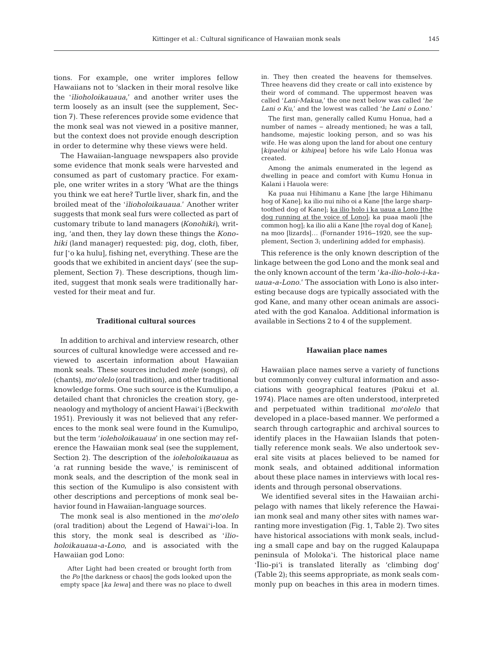tions. For example, one writer implores fellow Hawaiians not to 'slacken in their moral resolve like the '*ilioholoikauaua*,' and another writer uses the term loosely as an insult (see the supplement, Section 7). These references provide some evidence that the monk seal was not viewed in a positive manner, but the context does not provide enough description in order to determine why these views were held.

The Hawaiian-language newspapers also provide some evidence that monk seals were harvested and consumed as part of customary practice. For example, one writer writes in a story 'What are the things you think we eat here? Turtle liver, shark fin, and the broiled meat of the '*ilioholoikauaua*.' Another writer suggests that monk seal furs were collected as part of customary tribute to land managers *(Konohiki)*, writing, 'and then, they lay down these things the *Konohiki* (land manager) requested: pig, dog, cloth, fiber, fur ['o ka hulu], fishing net, everything. These are the goods that we exhibited in ancient days' (see the supplement, Section 7). These descriptions, though limited, suggest that monk seals were traditionally harvested for their meat and fur.

#### **Traditional cultural sources**

In addition to archival and interview research, other sources of cultural knowledge were accessed and reviewed to ascertain information about Hawaiian monk seals. These sources included *mele* (songs), *oli* (chants), *mo*'*olelo* (oral tradition), and other traditional knowledge forms. One such source is the Kumulipo, a detailed chant that chronicles the creation story, geneaology and mythology of ancient Hawai'i (Beckwith 1951). Previously it was not believed that any references to the monk seal were found in the Kumulipo, but the term '*ioleholoikauaua*' in one section may reference the Hawaiian monk seal (see the supplement, Section 2). The description of the *ioleholoikauaua* as 'a rat running beside the wave,' is reminiscent of monk seals, and the description of the monk seal in this section of the Kumulipo is also consistent with other descriptions and perceptions of monk seal behavior found in Hawaiian-language sources.

The monk seal is also mentioned in the *mo*'*olelo* (oral tradition) about the Legend of Hawai'i-loa. In this story, the monk seal is described as '*ilioholoikauaua-a-Lono*, and is associated with the Hawaiian god Lono:

After Light had been created or brought forth from the *Po* [the darkness or chaos] the gods looked upon the empty space *[ka lewa]* and there was no place to dwell

in. They then created the heavens for themselves. Three heavens did they create or call into existence by their word of command. The uppermost heaven was called '*Lani-Makua*,' the one next below was called '*he Lani o Ku*,' and the lowest was called '*he Lani o Lono*.'

The first man, generally called Kumu Honua, had a number of names − already mentioned; he was a tall, handsome, majestic looking person, and so was his wife. He was along upon the land for about one century *[kipaelui* or *kihipea]* before his wife Lalo Honua was created.

Among the animals enumerated in the legend as dwelling in peace and comfort with Kumu Honua in Kalani i Hauola were:

Ka puaa nui Hihimanu a Kane [the large Hihimanu hog of Kane]; ka ilio nui niho oi a Kane [the large sharptoothed dog of Kane]; ka ilio holo i ka uaua a Lono [the dog running at the voice of Lono]; ka puaa maoli [the common hog]; ka ilio alii a Kane [the royal dog of Kane]; na moo [lizards]… (Fornander 1916−1920, see the supplement, Section 3; underlining added for emphasis).

This reference is the only known description of the linkage between the god Lono and the monk seal and the only known account of the term '*ka-ilio-holo-i-kauaua-a-Lono.*' The association with Lono is also interesting because dogs are typically associated with the god Kane, and many other ocean animals are associated with the god Kanaloa. Additional information is available in Sections 2 to 4 of the supplement.

#### **Hawaiian place names**

Hawaiian place names serve a variety of functions but commonly convey cultural information and associations with geographical features (Pūkui et al. 1974). Place names are often understood, interpreted and perpetuated within traditional *mo*'*olelo* that developed in a place-based manner. We performed a search through cartographic and archival sources to identify places in the Hawaiian Islands that potentially reference monk seals. We also undertook several site visits at places believed to be named for monk seals, and obtained additional information about these place names in interviews with local residents and through personal observations.

We identified several sites in the Hawaiian archipelago with names that likely reference the Hawaiian monk seal and many other sites with names warranting more investigation (Fig. 1, Table 2). Two sites have historical associations with monk seals, including a small cape and bay on the rugged Kalaupapa peninsula of Moloka'i. The historical place name 'Īlio-pi'i is translated literally as 'climbing dog' (Table 2); this seems appropriate, as monk seals commonly pup on beaches in this area in modern times.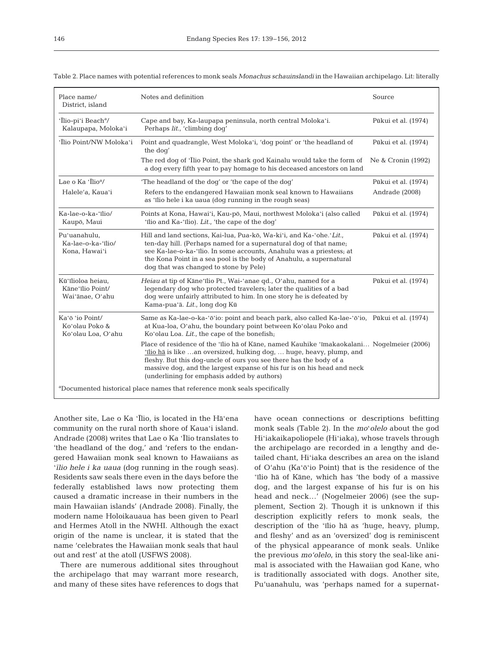| Place name/<br>District, island                          | Notes and definition                                                                                                                                                                                                                                                                                                                                              | Source              |
|----------------------------------------------------------|-------------------------------------------------------------------------------------------------------------------------------------------------------------------------------------------------------------------------------------------------------------------------------------------------------------------------------------------------------------------|---------------------|
| 'Ilio-pi'i Beach <sup>a</sup> /<br>Kalaupapa, Moloka'i   | Cape and bay, Ka-laupapa peninsula, north central Moloka'i.<br>Perhaps lit., 'climbing dog'                                                                                                                                                                                                                                                                       | Pūkui et al. (1974) |
| 'Ilio Point/NW Moloka'i                                  | Point and quadrangle, West Moloka'i, 'dog point' or 'the headland of<br>the dog'                                                                                                                                                                                                                                                                                  | Pūkui et al. (1974) |
|                                                          | The red dog of 'Ilio Point, the shark god Kainalu would take the form of<br>a dog every fifth year to pay homage to his deceased ancestors on land                                                                                                                                                                                                                | Ne & Cronin (1992)  |
| Lae o Ka $\cdot$ Ilio <sup>a</sup> /                     | 'The headland of the dog' or 'the cape of the dog'                                                                                                                                                                                                                                                                                                                | Pūkui et al. (1974) |
| Halele'a, Kaua'i                                         | Refers to the endangered Hawaiian monk seal known to Hawaiians<br>as 'īlio hele i ka uaua (dog running in the rough seas)                                                                                                                                                                                                                                         | Andrade (2008)      |
| Ka-lae-o-ka-'īlio/<br>Kaupō, Maui                        | Points at Kona, Hawai'i, Kau-pō, Maui, northwest Moloka'i (also called<br>'ilio and Ka-'ilio). Lit., 'the cape of the dog'                                                                                                                                                                                                                                        | Pūkui et al. (1974) |
| Pu'uanahulu,<br>Ka-lae-o-ka-'īlio/<br>Kona, Hawai'i      | Hill and land sections, Kai-lua, Pua-kō, Wa-ki'i, and Ka-'ohe.'Lit.,<br>ten-day hill. (Perhaps named for a supernatural dog of that name;<br>see Ka-lae-o-ka-'īlio. In some accounts, Anahulu was a priestess; at<br>the Kona Point in a sea pool is the body of Anahulu, a supernatural<br>dog that was changed to stone by Pele)                                | Pūkui et al. (1974) |
| Kū'īlioloa heiau,<br>Kāne'īlio Point/<br>Wai'ānae, O'ahu | Heiau at tip of Kāne'īlio Pt., Wai-'anae qd., O'ahu, named for a<br>legendary dog who protected travelers; later the qualities of a bad<br>dog were unfairly attributed to him. In one story he is defeated by<br>Kama-pua'ā. Lit., long dog Kū                                                                                                                   | Pūkui et al. (1974) |
| Ka'ō 'io Point/<br>Koʻolau Poko &<br>Ko'olau Loa, O'ahu  | Same as Ka-lae-o-ka-'ō'io: point and beach park, also called Ka-lae-'ō'io, Pūkui et al. (1974)<br>at Kua-loa, O'ahu, the boundary point between Ko'olau Poko and<br>Ko'olau Loa. Lit., the cape of the bonefish;                                                                                                                                                  |                     |
|                                                          | Place of residence of the 'īlio hā of Kāne, named Kauhike 'īmakaokalani Nogelmeier (2006)<br>'ilio ha is like an oversized, hulking dog,  huge, heavy, plump, and<br>fleshy. But this dog-uncle of ours you see there has the body of a<br>massive dog, and the largest expanse of his fur is on his head and neck<br>(underlining for emphasis added by authors) |                     |

Table 2. Place names with potential references to monk seals *Monachus schauinslandi* in the Hawaiian archipelago. Lit: literally

Another site, Lae o Ka 'Īlio, is located in the Hā'ena community on the rural north shore of Kaua'i island. Andrade (2008) writes that Lae o Ka 'Īlio translates to 'the headland of the dog,' and 'refers to the endangered Hawaiian monk seal known to Hawaiians as '*ilio hele i ka uaua* (dog running in the rough seas). Residents saw seals there even in the days before the federally established laws now protecting them caused a dramatic increase in their numbers in the main Hawaiian islands' (Andrade 2008). Finally, the modern name Holoikauaua has been given to Pearl and Hermes Atoll in the NWHI. Although the exact origin of the name is unclear, it is stated that the name 'celebrates the Hawaiian monk seals that haul out and rest' at the atoll (USFWS 2008).

a Documented historical place names that reference monk seals specifically

There are numerous additional sites throughout the archipelago that may warrant more research, and many of these sites have references to dogs that

have ocean connections or descriptions befitting monk seals (Table 2). In the *mo*'*olelo* about the god Hi'iakaikapoliopele (Hi'iaka), whose travels through the archipelago are recorded in a lengthy and detailed chant, Hi'iaka describes an area on the island of O'ahu (Ka'ō'io Point) that is the residence of the 'īlio hā of Kāne, which has 'the body of a massive dog, and the largest expanse of his fur is on his head and neck…' (Nogelmeier 2006) (see the supplement, Section 2). Though it is unknown if this description explicitly refers to monk seals, the description of the 'īlio hā as 'huge, heavy, plump, and fleshy' and as an 'oversized' dog is reminiscent of the physical appearance of monk seals. Unlike the previous *mo'olelo*, in this story the seal-like animal is associated with the Hawaiian god Kane, who is traditionally associated with dogs. Another site, Pu'uanahulu, was 'perhaps named for a supernat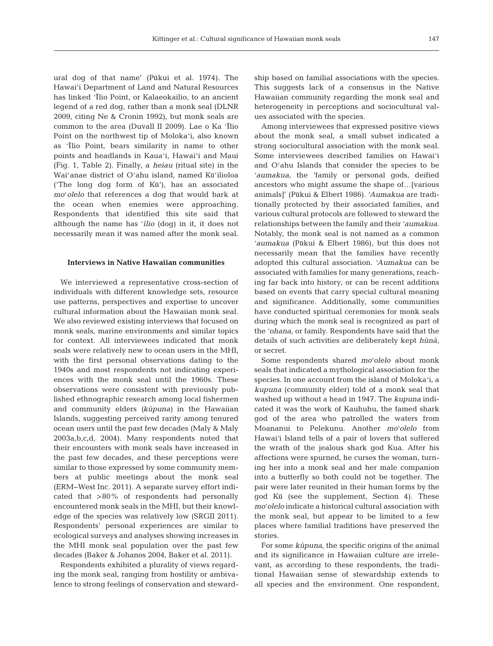ural dog of that name' (Pūkui et al. 1974). The Hawai'i Department of Land and Natural Resources has linked 'Īlio Point, or Kalaeokailio, to an ancient legend of a red dog, rather than a monk seal (DLNR 2009, citing Ne & Cronin 1992), but monk seals are common to the area (Duvall II 2009). Lae o Ka 'Īlio Point on the northwest tip of Molokaʻi, also known as 'Īlio Point, bears similarity in name to other points and headlands in Kauaʻi, Hawaiʻi and Maui (Fig. 1, Table 2). Finally, a *heiau* (ritual site) in the Waiʻanae district of Oʻahu island, named Kūʻilioloa ('The long dog form of Kū'), has an associated *mo*ʻ*olelo* that references a dog that would bark at the ocean when enemies were approaching. Respondents that identified this site said that although the name has '*īlio* (dog) in it, it does not necessarily mean it was named after the monk seal.

## **Interviews in Native Hawaiian communities**

We interviewed a representative cross-section of individuals with different knowledge sets, resource use patterns, perspectives and expertise to uncover cultural information about the Hawaiian monk seal. We also reviewed existing interviews that focused on monk seals, marine environments and similar topics for context. All interviewees indicated that monk seals were relatively new to ocean users in the MHI, with the first personal observations dating to the 1940s and most respondents not indicating experiences with the monk seal until the 1960s. These observations were consistent with previously published ethnographic research among local fishermen and community elders *(kūpuna)* in the Hawaiian Islands, suggesting perceived rarity among tenured ocean users until the past few decades (Maly & Maly 2003a,b,c,d, 2004). Many respondents noted that their encounters with monk seals have increased in the past few decades, and these perceptions were similar to those expressed by some community members at public meetings about the monk seal (ERM−West Inc. 2011). A separate survey effort indicated that >80% of respondents had personally encountered monk seals in the MHI, but their knowledge of the species was relatively low (SRGII 2011). Respondents' personal experiences are similar to ecological surveys and analyses showing increases in the MHI monk seal population over the past few decades (Baker & Johanos 2004, Baker et al. 2011).

Respondents exhibited a plurality of views regarding the monk seal, ranging from hostility or ambivalence to strong feelings of conservation and stewardship based on familial associations with the species. This suggests lack of a consensus in the Native Hawaiian community regarding the monk seal and heterogeneity in perceptions and sociocultural values associated with the species.

Among interviewees that expressed positive views about the monk seal, a small subset indicated a strong sociocultural association with the monk seal. Some interviewees described families on Hawaiʻi and Oʻahu Islands that consider the species to be ʻ*aumakua*, the 'family or personal gods, deified ancestors who might assume the shape of…[various animals]' (Pūkui & Elbert 1986). ʻ*Aumakua* are traditionally protected by their associated families, and various cultural protocols are followed to steward the relationships between the family and their ʻ*aumakua*. Notably, the monk seal is not named as a common ʻ*aumakua* (Pūkui & Elbert 1986), but this does not necessarily mean that the families have recently adopted this cultural association. ʻ*Aumakua* can be associated with families for many generations, reaching far back into history, or can be recent additions based on events that carry special cultural meaning and significance. Additionally, some communities have conducted spiritual ceremonies for monk seals during which the monk seal is recognized as part of the ʻ*ohana*, or family. Respondents have said that the details of such activities are deliberately kept  $h\bar{u}n\bar{a}$ , or secret.

Some respondents shared *mo*ʻ*olelo* about monk seals that indicated a mythological association for the species. In one account from the island of Molokaʻi, a *kupuna* (community elder) told of a monk seal that washed up without a head in 1947. The *kupuna* indicated it was the work of Kauhuhu, the famed shark god of the area who patrolled the waters from Moananui to Pelekunu. Another *mo*ʻ*olelo* from Hawaiʻi Island tells of a pair of lovers that suffered the wrath of the jealous shark god Kua. After his affections were spurned, he curses the woman, turning her into a monk seal and her male companion into a butterfly so both could not be together. The pair were later reunited in their human forms by the god Kū (see the supplement, Section 4). These *mo*ʻ*olelo* indicate a historical cultural association with the monk seal, but appear to be limited to a few places where familial traditions have preserved the stories.

For some *kūpuna*, the specific origins of the animal and its significance in Hawaiian culture are irrelevant, as according to these respondents, the traditional Hawaiian sense of stewardship extends to all species and the environment. One respondent,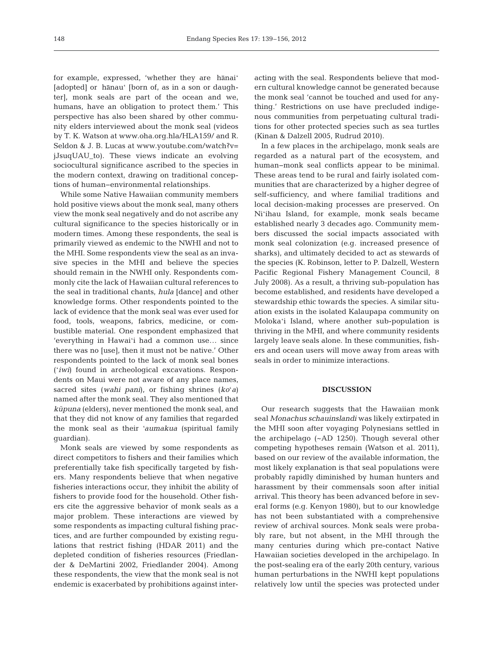for example, expressed, 'whether they are hānaiʻ [adopted] or hānauʻ [born of, as in a son or daughter], monk seals are part of the ocean and we, humans, have an obligation to protect them.' This perspective has also been shared by other community elders interviewed about the monk seal (videos by T. K. Watson at www.oha.org.hla/HLA159/ and R. Seldon & J. B. Lucas at www.youtube.com/watch?v= jJsuqUAU\_to). These views indicate an evolving sociocultural significance ascribed to the species in the modern context, drawing on traditional conceptions of human−environmental relationships.

While some Native Hawaiian community members hold positive views about the monk seal, many others view the monk seal negatively and do not ascribe any cultural significance to the species historically or in modern times. Among these respondents, the seal is primarily viewed as endemic to the NWHI and not to the MHI. Some respondents view the seal as an invasive species in the MHI and believe the species should remain in the NWHI only. Respondents commonly cite the lack of Hawaiian cultural references to the seal in traditional chants, *hula* [dance] and other knowledge forms. Other respondents pointed to the lack of evidence that the monk seal was ever used for food, tools, weapons, fabrics, medicine, or combustible material. One respondent emphasized that 'everything in Hawaiʻi had a common use… since there was no [use], then it must not be native.' Other respondents pointed to the lack of monk seal bones (ʻ*iwi*) found in archeological excavations. Respondents on Maui were not aware of any place names, sacred sites (*wahi pani*), or fishing shrines (*ko*ʻ*a*) named after the monk seal. They also mentioned that  $k\bar{u}p$ *una* (elders), never mentioned the monk seal, and that they did not know of any families that regarded the monk seal as their ʻ*aumakua* (spiritual family guardian).

Monk seals are viewed by some respondents as direct competitors to fishers and their families which preferentially take fish specifically targeted by fishers. Many respondents believe that when negative fisheries interactions occur, they inhibit the ability of fishers to provide food for the household. Other fishers cite the aggressive behavior of monk seals as a major problem. These interactions are viewed by some respondents as impacting cultural fishing practices, and are further compounded by existing regulations that restrict fishing (HDAR 2011) and the depleted condition of fisheries resources (Friedlander & DeMartini 2002, Friedlander 2004). Among these respondents, the view that the monk seal is not endemic is exacerbated by prohibitions against interacting with the seal. Respondents believe that modern cultural knowledge cannot be generated because the monk seal 'cannot be touched and used for anything.' Restrictions on use have precluded indigenous communities from perpetuating cultural traditions for other protected species such as sea turtles (Kinan & Dalzell 2005, Rudrud 2010).

In a few places in the archipelago, monk seals are regarded as a natural part of the ecosystem, and human−monk seal conflicts appear to be minimal. These areas tend to be rural and fairly isolated communities that are characterized by a higher degree of self-sufficiency, and where familial traditions and local decision-making processes are preserved. On Niʻihau Island, for example, monk seals became established nearly 3 decades ago. Community members discussed the social impacts associated with monk seal colonization (e.g. increased presence of sharks), and ultimately decided to act as stewards of the species (K. Robinson, letter to P. Dalzell, Western Pacific Regional Fishery Management Council, 8 July 2008). As a result, a thriving sub-population has become established, and residents have developed a stewardship ethic towards the species. A similar situation exists in the isolated Kalaupapa community on Molokaʻi Island, where another sub-population is thriving in the MHI, and where community residents largely leave seals alone. In these communities, fishers and ocean users will move away from areas with seals in order to minimize interactions.

## **DISCUSSION**

Our research suggests that the Hawaiian monk seal *Monachus schauinslandi* was likely extirpated in the MHI soon after voyaging Polynesians settled in the archipelago (~AD 1250). Though several other competing hypotheses remain (Watson et al. 2011), based on our review of the available information, the most likely explanation is that seal populations were probably rapidly diminished by human hunters and harassment by their commensals soon after initial arrival. This theory has been advanced before in several forms (e.g. Kenyon 1980), but to our knowledge has not been substantiated with a comprehensive review of archival sources. Monk seals were probably rare, but not absent, in the MHI through the many centuries during which pre-contact Native Hawaiian societies developed in the archipelago. In the post-sealing era of the early 20th century, various human perturbations in the NWHI kept populations relatively low until the species was protected under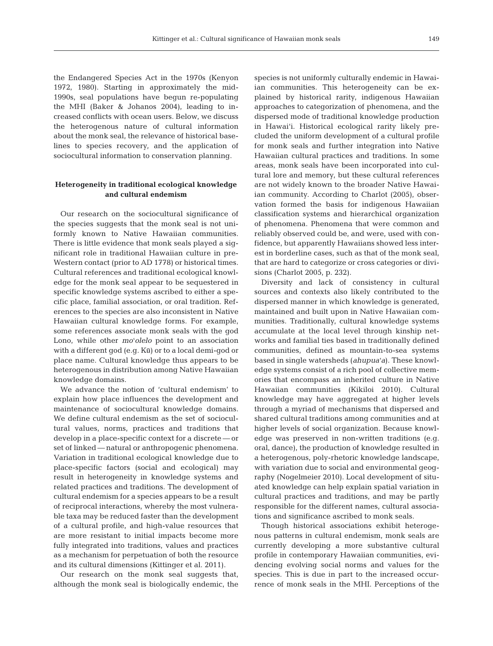the Endangered Species Act in the 1970s (Kenyon 1972, 1980). Starting in approximately the mid-1990s, seal populations have begun re-populating the MHI (Baker & Johanos 2004), leading to in creased conflicts with ocean users. Below, we discuss the heterogenous nature of cultural information about the monk seal, the relevance of historical baselines to species recovery, and the application of sociocultural information to conservation planning.

## **Heterogeneity in traditional ecological knowledge and cultural endemism**

Our research on the sociocultural significance of the species suggests that the monk seal is not uniformly known to Native Hawaiian communities. There is little evidence that monk seals played a significant role in traditional Hawaiian culture in pre-Western contact (prior to AD 1778) or historical times. Cultural references and traditional ecological knowledge for the monk seal appear to be sequestered in specific knowledge systems ascribed to either a specific place, familial association, or oral tradition. References to the species are also inconsistent in Native Hawaiian cultural knowledge forms. For example, some references associate monk seals with the god Lono, while other *mo*ʻ*olelo* point to an association with a different god (e.g. Kū) or to a local demi-god or place name. Cultural knowledge thus appears to be heterogenous in distribution among Native Hawaiian knowledge domains.

We advance the notion of 'cultural endemism' to explain how place influences the development and maintenance of sociocultural knowledge domains. We define cultural endemism as the set of sociocultural values, norms, practices and traditions that develop in a place-specific context for a discrete — or set of linked — natural or anthropogenic phenomena. Variation in traditional ecological knowledge due to place-specific factors (social and ecological) may result in heterogeneity in knowledge systems and related practices and traditions. The development of cultural endemism for a species appears to be a result of reciprocal interactions, whereby the most vulnerable taxa may be reduced faster than the development of a cultural profile, and high-value resources that are more resistant to initial impacts become more fully integrated into traditions, values and practices as a mechanism for perpetuation of both the resource and its cultural dimensions (Kittinger et al. 2011).

Our research on the monk seal suggests that, although the monk seal is biologically endemic, the species is not uniformly culturally endemic in Hawaiian communities. This heterogeneity can be explained by historical rarity, indigenous Hawaiian approaches to categorization of phenomena, and the dispersed mode of traditional knowledge production in Hawai'i. Historical ecological rarity likely precluded the uniform development of a cultural profile for monk seals and further integration into Native Hawaiian cultural practices and traditions. In some areas, monk seals have been incorporated into cultural lore and memory, but these cultural references are not widely known to the broader Native Hawaiian community. According to Charlot (2005), observation formed the basis for indigenous Hawaiian classification systems and hierarchical organization of phenomena. Phenomena that were common and reliably observed could be, and were, used with confidence, but apparently Hawaiians showed less interest in borderline cases, such as that of the monk seal, that are hard to categorize or cross categories or divisions (Charlot 2005, p. 232).

Diversity and lack of consistency in cultural sources and contexts also likely contributed to the dispersed manner in which knowledge is generated, maintained and built upon in Native Hawaiian communities. Traditionally, cultural knowledge systems accumulate at the local level through kinship networks and familial ties based in traditionally defined communities, defined as mountain-to-sea systems based in single watersheds (*ahupua*ʻ*a*). These knowledge systems consist of a rich pool of collective memories that encompass an inherited culture in Native Hawaiian communities (Kikiloi 2010). Cultural knowledge may have aggregated at higher levels through a myriad of mechanisms that dispersed and shared cultural traditions among communities and at higher levels of social organization. Because knowledge was preserved in non-written traditions (e.g. oral, dance), the production of knowledge resulted in a heterogenous, poly-rhetoric knowledge landscape, with variation due to social and environmental geography (Nogelmeier 2010). Local development of situated knowledge can help explain spatial variation in cultural practices and traditions, and may be partly responsible for the different names, cultural associations and significance ascribed to monk seals.

Though historical associations exhibit heterogenous patterns in cultural endemism, monk seals are currently developing a more substantive cultural profile in contemporary Hawaiian communities, evidencing evolving social norms and values for the species. This is due in part to the increased occurrence of monk seals in the MHI. Perceptions of the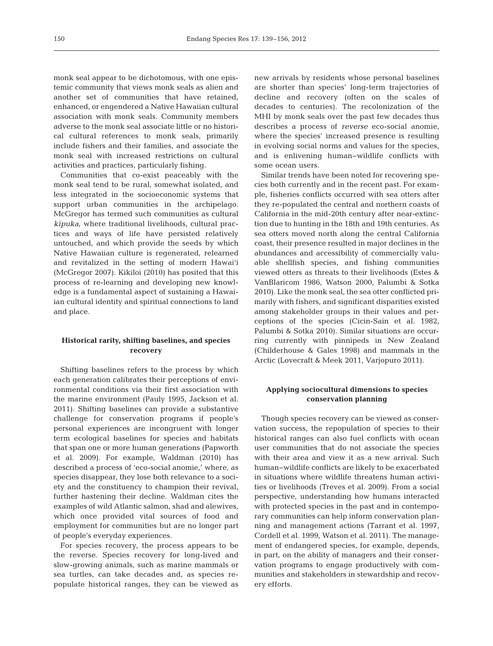monk seal appear to be dichotomous, with one epistemic community that views monk seals as alien and another set of communities that have retained, enhanced, or engendered a Native Hawaiian cultural association with monk seals. Community members adverse to the monk seal associate little or no historical cultural references to monk seals, primarily include fishers and their families, and associate the monk seal with increased restrictions on cultural activities and practices, particularly fishing.

Communities that co-exist peaceably with the monk seal tend to be rural, somewhat isolated, and less integrated in the socioeconomic systems that support urban communities in the archipelago. McGregor has termed such communities as cultural *kipuka*, where traditional livelihoods, cultural practices and ways of life have persisted relatively untouched, and which provide the seeds by which Native Hawaiian culture is regenerated, relearned and revitalized in the setting of modern Hawai'i (McGregor 2007). Kikiloi (2010) has posited that this process of re-learning and developing new knowledge is a fundamental aspect of sustaining a Hawaiian cultural identity and spiritual connections to land and place.

## **Historical rarity, shifting baselines, and species recovery**

Shifting baselines refers to the process by which each generation calibrates their perceptions of environmental conditions via their first association with the marine environment (Pauly 1995, Jackson et al. 2011). Shifting baselines can provide a substantive challenge for conservation programs if people's personal experiences are incongruent with longer term ecological baselines for species and habitats that span one or more human generations (Papworth et al. 2009). For example, Waldman (2010) has described a process of 'eco-social anomie,' where, as species disappear, they lose both relevance to a society and the constituency to champion their revival, further hastening their decline. Waldman cites the examples of wild Atlantic salmon, shad and alewives, which once provided vital sources of food and employment for communities but are no longer part of people's everyday experiences.

For species recovery, the process appears to be the reverse. Species recovery for long-lived and slow-growing animals, such as marine mammals or sea turtles, can take decades and, as species repopulate historical ranges, they can be viewed as

new arrivals by residents whose personal baselines are shorter than species' long-term trajectories of decline and recovery (often on the scales of decades to centuries). The recolonization of the MHI by monk seals over the past few decades thus describes a process of *reverse* eco-social anomie, where the species' increased presence is resulting in evolving social norms and values for the species, and is enlivening human− wildlife conflicts with some ocean users.

Similar trends have been noted for recovering species both currently and in the recent past. For example, fisheries conflicts occurred with sea otters after they re-populated the central and northern coasts of California in the mid-20th century after near-extinction due to hunting in the 18th and 19th centuries. As sea otters moved north along the central California coast, their presence resulted in major declines in the abundances and accessibility of commercially valuable shellfish species, and fishing communities viewed otters as threats to their livelihoods (Estes & VanBlaricom 1986, Watson 2000, Palumbi & Sotka 2010). Like the monk seal, the sea otter conflicted primarily with fishers, and significant disparities existed among stakeholder groups in their values and perceptions of the species (Cicin-Sain et al. 1982, Palumbi & Sotka 2010). Similar situations are occurring currently with pinnipeds in New Zealand (Childerhouse & Gales 1998) and mammals in the Arctic (Lovecraft & Meek 2011, Varjopuro 2011).

## **Applying sociocultural dimensions to species conservation planning**

Though species recovery can be viewed as conservation success, the repopulation of species to their historical ranges can also fuel conflicts with ocean user communities that do not associate the species with their area and view it as a new arrival. Such human−wildlife conflicts are likely to be exacerbated in situations where wildlife threatens human activities or livelihoods (Treves et al. 2009). From a social perspective, understanding how humans interacted with protected species in the past and in contemporary communities can help inform conservation planning and management actions (Tarrant et al. 1997, Cordell et al. 1999, Watson et al. 2011). The management of endangered species, for example, depends, in part, on the ability of managers and their conservation programs to engage productively with communities and stakeholders in stewardship and recovery efforts.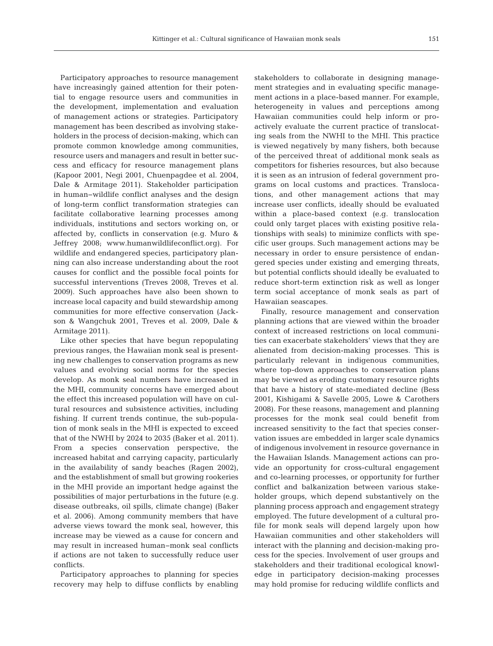Participatory approaches to resource management have increasingly gained attention for their potential to engage resource users and communities in the development, implementation and evaluation of management actions or strategies. Participatory management has been described as involving stakeholders in the process of decision-making, which can promote common knowledge among communities, resource users and managers and result in better success and efficacy for resource management plans (Kapoor 2001, Negi 2001, Chuenpagdee et al. 2004, Dale & Armitage 2011). Stakeholder participation in human−wildlife conflict analyses and the design of long-term conflict transformation strategies can facilitate collaborative learning processes among individuals, institutions and sectors working on, or affected by, conflicts in conservation (e.g. Muro & Jeffrey 2008; www.humanwildlifeconflict.org). For wildlife and endangered species, participatory planning can also increase understanding about the root causes for conflict and the possible focal points for successful interventions (Treves 2008, Treves et al. 2009). Such approaches have also been shown to increase local capacity and build stewardship among communities for more effective conservation (Jackson & Wangchuk 2001, Treves et al. 2009, Dale & Armitage 2011).

Like other species that have begun repopulating previous ranges, the Hawaiian monk seal is presenting new challenges to conservation programs as new values and evolving social norms for the species develop. As monk seal numbers have increased in the MHI, community concerns have emerged about the effect this increased population will have on cultural resources and subsistence activities, including fishing. If current trends continue, the sub-population of monk seals in the MHI is expected to exceed that of the NWHI by 2024 to 2035 (Baker et al. 2011). From a species conservation perspective, the increased habitat and carrying capacity, particularly in the availability of sandy beaches (Ragen 2002), and the establishment of small but growing rookeries in the MHI provide an important hedge against the possibilities of major perturbations in the future (e.g. disease outbreaks, oil spills, climate change) (Baker et al. 2006). Among community members that have adverse views toward the monk seal, however, this increase may be viewed as a cause for concern and may result in increased human−monk seal conflicts if actions are not taken to successfully reduce user conflicts.

Participatory approaches to planning for species recovery may help to diffuse conflicts by enabling

stakeholders to collaborate in designing management strategies and in evaluating specific management actions in a place-based manner. For example, heterogeneity in values and perceptions among Hawaiian communities could help inform or proactively evaluate the current practice of translocating seals from the NWHI to the MHI. This practice is viewed negatively by many fishers, both because of the perceived threat of additional monk seals as competitors for fisheries resources, but also because it is seen as an intrusion of federal government programs on local customs and practices. Translocations, and other management actions that may increase user conflicts, ideally should be evaluated within a place-based context (e.g. translocation could only target places with existing positive relationships with seals) to minimize conflicts with specific user groups. Such management actions may be necessary in order to ensure persistence of endangered species under existing and emerging threats, but potential conflicts should ideally be evaluated to reduce short-term extinction risk as well as longer term social acceptance of monk seals as part of Hawaiian seascapes.

Finally, resource management and conservation planning actions that are viewed within the broader context of increased restrictions on local communities can exacerbate stakeholders' views that they are alienated from decision-making processes. This is particularly relevant in indigenous communities, where top-down approaches to conservation plans may be viewed as eroding customary resource rights that have a history of state-mediated decline (Bess 2001, Kishigami & Savelle 2005, Lowe & Carothers 2008). For these reasons, management and planning processes for the monk seal could benefit from increased sensitivity to the fact that species conservation issues are embedded in larger scale dynamics of indigenous involvement in resource governance in the Hawaiian Islands. Management actions can provide an opportunity for cross-cultural engagement and co-learning processes, or opportunity for further conflict and balkanization between various stakeholder groups, which depend substantively on the planning process approach and engagement strategy employed. The future development of a cultural profile for monk seals will depend largely upon how Hawaiian communities and other stakeholders will interact with the planning and decision-making process for the species. Involvement of user groups and stakeholders and their traditional ecological knowledge in participatory decision-making processes may hold promise for reducing wildlife conflicts and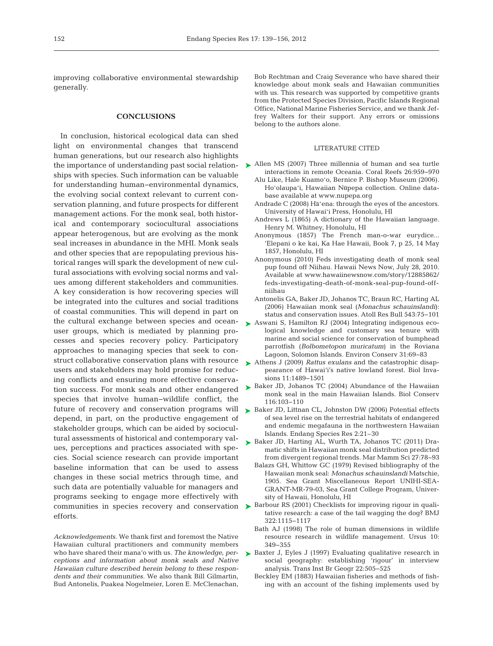improving collaborative environmental stewardship generally.

#### **CONCLUSIONS**

In conclusion, historical ecological data can shed light on environmental changes that transcend human generations, but our research also highlights the importance of understanding past social relationships with species. Such information can be valuable for understanding human−environmental dynamics, the evolving social context relevant to current conservation planning, and future prospects for different management actions. For the monk seal, both historical and contemporary sociocultural associations appear heterogenous, but are evolving as the monk seal increases in abundance in the MHI. Monk seals and other species that are repopulating previous historical ranges will spark the development of new cultural associations with evolving social norms and values among different stakeholders and communities. A key consideration is how recovering species will be integrated into the cultures and social traditions of coastal communities. This will depend in part on the cultural exchange between species and oceanuser groups, which is mediated by planning processes and species recovery policy. Participatory approaches to managing species that seek to construct collaborative conservation plans with resource users and stakeholders may hold promise for reducing conflicts and ensuring more effective conservation success. For monk seals and other endangered species that involve human−wildlife conflict, the future of recovery and conservation programs will depend, in part, on the productive engagement of stakeholder groups, which can be aided by sociocultural assessments of historical and contemporary values, perceptions and practices associated with species. Social science research can provide important baseline information that can be used to assess changes in these social metrics through time, and such data are potentially valuable for managers and programs seeking to engage more effectively with communities in species recovery and conservation  $\triangleright$  Barbour RS (2001) Checklists for improving rigour in qualiefforts.

*Acknowledgements.* We thank first and foremost the Native Hawaiian cultural practitioners and community members who have shared their mana'o with us. *The knowledge, perceptions and information about monk seals and Native Hawaiian culture described herein belong to these respondents and their communities.* We also thank Bill Gilmartin, Bud Antonelis, Puakea Nogelmeier, Loren E. McClenachan,

Bob Rechtman and Craig Severance who have shared their knowledge about monk seals and Hawaiian communities with us. This research was supported by competitive grants from the Protected Species Division, Pacific Islands Regional Office, National Marine Fisheries Service, and we thank Jeffrey Walters for their support. Any errors or omissions belong to the authors alone.

#### LITERATURE CITED

- ► Allen MS (2007) Three millennia of human and sea turtle interactions in remote Oceania. Coral Reefs 26: 959−970
	- Alu Like, Hale Kuamoʻo, Bernice P. Bishop Museum (2006). Hoʻolaupaʻi, Hawaiian Nūpepa collection. Online database available atwww.nupepa.org
	- Andrade C (2008) Hā'ena: through the eyes of the ancestors. University of Hawai'i Press, Honolulu, HI
	- Andrews L (1865) A dictionary of the Hawaiian language. Henry M. Whitney, Honolulu, HI
	- Anonymous (1857) The French man-o-war eurydice... 'Elepani o ke kai, Ka Hae Hawaii, Book 7, p 25, 14 May 1857, Honolulu, HI
	- Anonymous (2010) Feds investigating death of monk seal pup found off Niihau. Hawaii News Now, July 28, 2010. Available at www.hawaiinewsnow.com/story/ 12885862/ feds-investigating-death-of-monk-seal-pup-found-offniihau
	- Antonelis GA, Baker JD, Johanos TC, Braun RC, Harting AL (2006) Hawaiian monk seal (*Monachus schauinslandi*): status and conservation issues. Atoll Res Bull 543:75−101
- ▶ Aswani S, Hamilton RJ (2004) Integrating indigenous ecological knowledge and customary sea tenure with marine and social science for conservation of bumphead parrotfish (*Bolbometopon muricatum*) in the Roviana Lagoon, Solomon Islands. Environ Conserv 31:69-83
- ▶ Athens J (2009) *Rattus exulans* and the catastrophic disappearance of Hawai'i's native lowland forest. Biol Invasions 11:1489-1501
- ► Baker JD, Johanos TC (2004) Abundance of the Hawaiian monk seal in the main Hawaiian Islands. Biol Conserv 116: 103−110
- ► Baker JD, Littnan CL, Johnston DW (2006) Potential effects of sea level rise on the terrestrial habitats of endangered and endemic megafauna in the northwestern Hawaiian Islands. Endang Species Res 2:21–30
- ▶ Baker JD, Harting AL, Wurth TA, Johanos TC (2011) Dramatic shifts in Hawaiian monk seal distribution predicted from divergent regional trends. Mar Mamm Sci 27:78-93
	- Balazs GH, Whittow GC (1979) Revised bibliography of the Hawaiian monk seal: *Monachus schauinslandi* Matschie, 1905. Sea Grant Miscellaneous Report UNIHI-SEA-GRANT-MR-79-03, Sea Grant College Program, University of Hawaii, Honolulu, HI
	- tative research: a case of the tail wagging the dog? BMJ 322: 1115−1117
	- Bath AJ (1998) The role of human dimensions in wildlife resource research in wildlife management. Ursus 10: 349−355
- ▶ Baxter J, Eyles J (1997) Evaluating qualitative research in social geography: establishing 'rigour' in interview analysis. Trans Inst Br Geogr 22: 505−525
	- Beckley EM (1883) Hawaiian fisheries and methods of fishing with an account of the fishing implements used by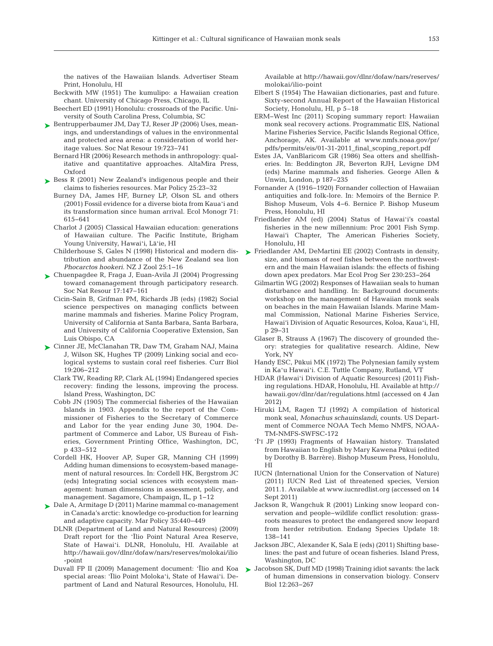the natives of the Hawaiian Islands. Advertiser Steam Print, Honolulu, HI

- Beckwith MW (1951) The kumulipo: a Hawaiian creation chant. University of Chicago Press, Chicago, IL
- Beechert ED (1991) Honolulu: crossroads of the Pacific. University of South Carolina Press, Columbia, SC
- ► Bentrupperbaumer JM, Day TJ, Reser JP (2006) Uses, meanings, and understandings of values in the environmental and protected area arena: a consideration of world heritage values. Soc Nat Resour 19:723-741
	- Bernard HR (2006) Research methods in anthropology:qualitative and quantitative approaches. AltaMira Press, Oxford
- ► Bess R (2001) New Zealand's indigenous people and their claims to fisheries resources. Mar Policy 25: 23−32
	- Burney DA, James HF, Burney LP, Olson SL and others (2001) Fossil evidence for a diverse biota from Kaua'i and its transformation since human arrival. Ecol Monogr 71: 615−641
	- Charlot J (2005) Classical Hawaiian education: generations of Hawaiian culture. The Pacific Institute, Brigham Young University, Hawai'i, Lā'ie, HI
	- Childerhouse S, Gales N (1998) Historical and modern distribution and abundance of the New Zealand sea lion *Phocarctos hookeri.* NZ J Zool 25: 1−16
- Chuenpagdee R, Fraga J, Euan-Avila JI (2004) Progressing ➤ toward comanagement through participatory research. Soc Nat Resour 17: 147−161
	- Cicin-Sain B, Grifman PM, Richards JB (eds) (1982) Social science perspectives on managing conflicts between marine mammals and fisheries. Marine Policy Program, University of California at Santa Barbara, Santa Barbara, and University of California Cooperative Extension, San Luis Obispo, CA
- Cinner JE, McClanahan TR, Daw TM, Graham NAJ, Maina ➤ J, Wilson SK, Hughes TP (2009) Linking social and ecological systems to sustain coral reef fisheries. Curr Biol 19: 206−212
	- Clark TW, Reading RP, Clark AL (1994) Endangered species recovery: finding the lessons, improving the process. Island Press, Washington, DC
	- Cobb JN (1905) The commercial fisheries of the Hawaiian Islands in 1903. Appendix to the report of the Commissioner of Fisheries to the Secretary of Commerce and Labor for the year ending June 30, 1904. Department of Commerce and Labor, US Bureau of Fisheries, Government Printing Office, Washington, DC, p 433−512
	- Cordell HK, Hoover AP, Super GR, Manning CH (1999) Adding human dimensions to ecosystem-based management of natural resources. In: Cordell HK, Bergstrom JC (eds) Integrating social sciences with ecosystem management: human dimensions in assessment, policy, and management. Sagamore, Champaign, IL, p 1−12
- Dale A, Armitage D (2011) Marine mammal co-management ➤ in Canada's arctic: knowledge co-production for learning and adaptive capacity. Mar Policy 35: 440−449
	- DLNR (Department of Land and Natural Resources) (2009) Draft report for the 'Īlio Point Natural Area Reserve, State of Hawai'i. DLNR, Honolulu, HI. Available at http://hawaii.gov/dlnr/dofaw/nars/reserves/molokai/ilio -point
	- Duvall FP II (2009) Management document: 'Īlio and Koa special areas: 'Īlio Point Moloka'i, State of Hawai'i. De partment of Land and Natural Resources, Honolulu, HI.

Available at http://hawaii.gov/dlnr/dofaw/nars/reserves/ molokai/ilio-point

- Elbert S (1954) The Hawaiian dictionaries, past and future. Sixty-second Annual Report of the Hawaiian Historical Society, Honolulu, HI, p 5–18
- ERM–West Inc (2011) Scoping summary report: Hawaiian monk seal recovery actions. Programmatic EIS, National Marine Fisheries Service, Pacific Islands Regional Office, Anchorage, AK. Available at www.nmfs.noaa.gov/pr/ pdfs/permits/eis/01-31-2011\_final\_scoping\_report.pdf
- Estes JA, VanBlaricom GR (1986) Sea otters and shellfisheries. In: Beddington JR, Beverton RJH, Levigne DM (eds) Marine mammals and fisheries. George Allen & Unwin, London, p 187−235
- Fornander A (1916−1920) Fornander collection of Hawaiian antiquities and folk-lore. In: Memoirs of the Bernice P. Bishop Museum, Vols 4−6. Bernice P. Bishop Museum Press, Honolulu, HI
- Friedlander AM (ed) (2004) Status of Hawai'i's coastal fisheries in the new millennium: Proc 2001 Fish Symp. Hawai'i Chapter, The American Fisheries Society, Honolulu, HI
- ► Friedlander AM, DeMartini EE (2002) Contrasts in density, size, and biomass of reef fishes between the northwestern and the main Hawaiian islands: the effects of fishing down apex predators. Mar Ecol Prog Ser 230:253-264
	- Gilmartin WG (2002) Responses of Hawaiian seals to human disturbance and handling. In: Background documents: workshop on the management of Hawaiian monk seals on beaches in the main Hawaiian Islands. Marine Mammal Commission, National Marine Fisheries Service, Hawai'i Division of Aquatic Resources, Koloa, Kaua'i, HI, p 29−31
	- Glaser B, Strauss A (1967) The discovery of grounded theory: strategies for qualitative research. Aldine, New York, NY
	- Handy ESC, Pūkui MK (1972) The Polynesian family system in Ka'u Hawai'i. C.E. Tuttle Company, Rutland, VT
	- HDAR (Hawai'i Division of Aquatic Resources) (2011) Fishing regulations. HDAR, Honolulu, HI. Available athttp:// hawaii.gov/dlnr/dar/regulations.html (accessed on 4 Jan 2012)
	- Hiruki LM, Ragen TJ (1992) A compilation of historical monk seal, *Monachus schauinslandi*, counts. US Department of Commerce NOAA Tech Memo NMFS, NOAA-TM-NMFS-SWFSC-172
	- 'Ī'ī JP (1993) Fragments of Hawaiian history. Translated from Hawaiian to English by Mary Kawena Pūkui (edited by Dorothy B. Barrère). Bishop Museum Press, Honolulu, HI
	- IUCN (International Union for the Conservation of Nature) (2011) IUCN Red List of threatened species, Version 2011.1. Available at www.iucnredlist.org (accessed on 14 Sept 2011)
	- Jackson R, Wangchuk R (2001) Linking snow leopard conservation and people-wildlife conflict resolution: grassroots measures to protect the endangered snow leopard from herder retribution. Endang Species Update 18: 138−141
	- Jackson JBC, Alexander K, Sala E (eds) (2011) Shifting baselines: the past and future of ocean fisheries. Island Press, Washington, DC
- ► Jacobson SK, Duff MD (1998) Training idiot savants: the lack of human dimensions in conservation biology. Conserv Biol 12:263-267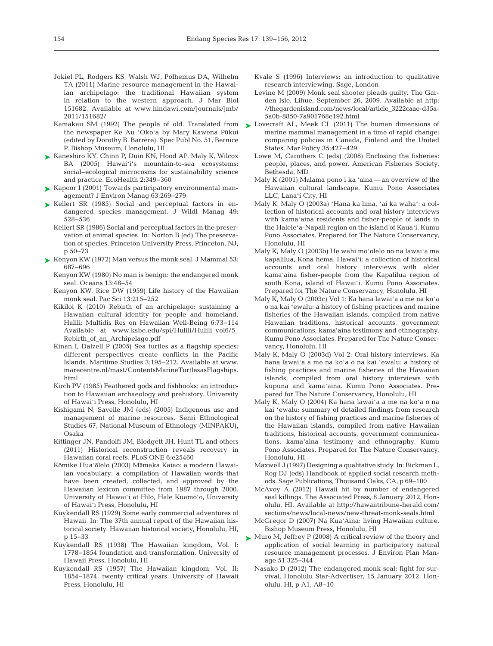- Jokiel PL, Rodgers KS, Walsh WJ, Polhemus DA, Wilhelm TA (2011) Marine resource management in the Hawaiian archipelago: the traditional Hawaiian system in relation to the western approach. J Mar Biol 151682. Available at www.hindawi.com/journals/jmb/ 2011/151682/
- Kamakau SM (1992) The people of old. Translated from the newspaper Ke Au 'Oko'a by Mary Kawena Pūkui (edited by Dorothy B. Barrère). Spec Publ No. 51, Bernice P. Bishop Museum, Honolulu, HI
- ► Kaneshiro KY, Chinn P, Duin KN, Hood AP, Maly K, Wilcox BA (2005) Hawai'i's mountain-to-sea ecosystems: social−ecological microcosms for sustainability science and practice. EcoHealth 2: 349−360
- ► Kapoor I (2001) Towards participatory environmental management? J Environ Manag 63: 269−279
- $\blacktriangleright$  Kellert SR (1985) Social and perceptual factors in endangered species management. J Wildl Manag 49: 528−536
	- Kellert SR (1986) Social and perceptual factors in the preservation of animal species. In: Norton B (ed) The preservation of species. Princeton University Press, Princeton, NJ, p 50−73
- ► Kenyon KW (1972) Man versus the monk seal. J Mammal 53: 687−696
	- Kenyon KW (1980) No man is benign: the endangered monk seal. Oceans 13:48-54
	- Kenyon KW, Rice DW (1959) Life history of the Hawaiian monk seal. Pac Sci 13:215−252
	- Kikiloi K (2010) Rebirth of an archipelago: sustaining a Hawaiian cultural identity for people and homeland. Hūlili: Multidis Res on Hawaiian Well-Being 6:73-114 Available at www.ksbe.edu/spi/Hulili/Hulili\_vol6/5\_ Rebirth\_of\_an\_Archipelago.pdf
	- Kinan I, Dalzell P (2005) Sea turtles as a flagship species: different perspectives create conflicts in the Pacific Islands. Maritime Studies 3: 195−212. Available at www. marecentre.nl/mast/ContentsMarineTurtlesasFlagships. html
	- Kirch PV (1985) Feathered gods and fishhooks: an introduction to Hawaiian archaeology and prehistory. University of Hawai'i Press, Honolulu, HI
	- Kishigami N, Savelle JM (eds) (2005) Indigenous use and management of marine resources. Senri Ethnological Studies 67, National Museum of Ethnology (MINPAKU), Osaka
	- Kittinger JN, Pandolfi JM, Blodgett JH, Hunt TL and others (2011) Historical reconstruction reveals recovery in Hawaiian coral reefs. PLoS ONE 6:e25460
	- Kōmike Hua'ōlelo (2003) Māmaka Kaiao: a modern Hawaiian vocabulary: a compilation of Hawaiian words that have been created, collected, and approved by the Hawaiian lexicon committee from 1987 through 2000. University of Hawai'i at Hilo, Hale Kuamoʻo, University of Hawai'i Press, Honolulu, HI
	- Kuykendall RS (1929) Some early commercial adventures of Hawaii. In: The 37th annual report of the Hawaiian historical society. Hawaiian historical society, Honolulu, HI, p 15−33
	- Kuykendall RS (1938) The Hawaiian kingdom, Vol. I: 1778−1854 foundation and transformation. University of Hawaii Press, Honolulu, HI
	- Kuykendall RS (1957) The Hawaiian kingdom, Vol. II: 1854−1874, twenty critical years. University of Hawaii Press, Honolulu, HI
- Kvale S (1996) Interviews: an introduction to qualitative research interviewing. Sage, London
- Levine M (2009) Monk seal shooter pleads guilty. The Garden Isle, Lihue, September 26, 2009. Available at http: //thegardenisland.com/news/local/article\_3222caae-d35a-5a0b-8850-7a901768e192.html
- ► Lovecraft AL, Meek CL (2011) The human dimensions of marine mammal management in a time of rapid change: comparing policies in Canada, Finland and the United States. Mar Policy 35: 427−429
	- Lowe M, Carothers C (eds) (2008) Enclosing the fisheries: people, places, and power. American Fisheries Society, Bethesda, MD
	- Maly K (2001) Mālama pono i ka 'āina an overview of the Hawaiian cultural landscape. Kumu Pono Associates LLC, Lana'i City, HI
	- Maly K, Maly O (2003a) 'Hana ka lima, 'ai ka waha': a collection of historical accounts and oral history interviews with kama'aina residents and fisher-people of lands in the Halele'a-Napali region on the island of Kaua'i. Kumu Pono Associates. Prepared for The Nature Conservancy, Honolulu, HI
	- Maly K, Maly O (2003b) He wahi mo'olelo no na lawai'a ma kapalilua, Kona hema, Hawai'i: a collection of historical accounts and oral history interviews with elder kama'aina fisher-people from the Kapalilua region of south Kona, island of Hawai'i. Kumu Pono Associates. Prepared for The Nature Conservancy, Honolulu, HI
	- Maly K, Maly O (2003c) Vol 1:Ka hana lawai'a a me na ko'a o na kai 'ewalu:a history of fishing practices and marine fisheries of the Hawaiian islands, compiled from native Hawaiian traditions, historical accounts, government communications, kama'aina testimony and ethnography. Kumu Pono Associates. Prepared for The Nature Conservancy, Honolulu, HI
	- Maly K, Maly O (2003d) Vol 2: Oral history interviews. Ka hana lawai'a a me na ko'a o na kai 'ewalu: a history of fishing practices and marine fisheries of the Hawaiian islands, compiled from oral history interviews with kupuna and kama'aina. Kumu Pono Associates. Prepared for The Nature Conservancy, Honolulu, HI
	- Maly K, Maly O (2004) Ka hana lawai'a a me na ko'a o na kai 'ewalu: summary of detailed findings from research on the history of fishing practices and marine fisheries of the Hawaiian islands, compiled from native Hawaiian traditions, historical accounts, government communications, kama'aina testimony and ethnography. Kumu Pono Associates. Prepared for The Nature Conservancy, Honolulu, HI
	- Maxwell J (1997) Designing a qualitative study. In: Bickman L, Rog DJ (eds) Handbook of applied social research methods. Sage Publications, Thousand Oaks, CA, p 69−100
	- McAvoy A (2012) Hawaii hit by number of endangered seal killings. The Associated Press, 8 January 2012, Honolulu, HI. Available at http://hawaiitribune-herald.com/ sections/ news/local-news/new-threat-monk-seals.html
	- McGregor D (2007) Na Kua'Āina: living Hawaiian culture. Bishop Museum Press, Honolulu, HI
- ► Muro M, Jeffrey P (2008) A critical review of the theory and application of social learning in participatory natural resource management processes. J Environ Plan Manage 51:325-344
	- Nasako D (2012) The endangered monk seal: fight for survival. Honolulu Star-Advertiser, 15 January 2012, Honolulu, HI, p A1, A8−10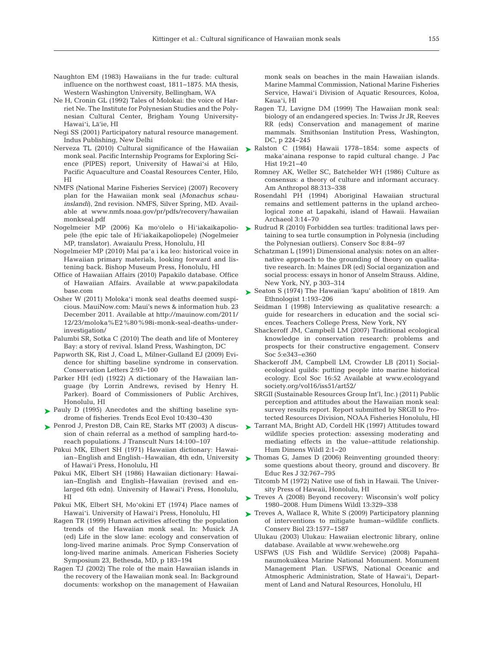- Naughton EM (1983) Hawaiians in the fur trade: cultural influence on the northwest coast, 1811−1875. MA thesis, Western Washington University, Bellingham, WA
- Ne H, Cronin GL (1992) Tales of Molokai: the voice of Harriet Ne. The Institute for Polynesian Studies and the Polynesian Cultural Center, Brigham Young University-Hawai'i, Lā'ie, HI
- Negi SS (2001) Participatory natural resource management. Indus Publishing, New Delhi
- Nerveza TL (2010) Cultural significance of the Hawaiian monk seal. Pacific Internship Programs for Exploring Science (PIPES) report, University of Hawai'si at Hilo, Pacific Aquaculture and Coastal Resources Center, Hilo, HI
- NMFS (National Marine Fisheries Service) (2007) Recovery plan for the Hawaiian monk seal (*Monachus schau inslandi*), 2nd revision. NMFS, Silver Spring, MD. Available at www.nmfs.noaa.gov/pr/pdfs/recovery/hawaiian monkseal.pdf
- Nogelmeier MP (2006) Ka mo'olelo o Hi'iakaikapoliopele (the epic tale of Hi'iakaikapoliopele) (Nogelmeier MP, translator). Awaiaulu Press, Honolulu, HI
- Nogelmeier MP (2010) Mai pa'a i ka leo: historical voice in Hawaiian primary materials, looking forward and listening back. Bishop Museum Press, Honolulu, HI
- Office of Hawaiian Affairs (2010) Papakilo database. Office of Hawaiian Affairs. Available at www.papakilodata base.com
- Osher W (2011) Moloka'i monk seal deaths deemed suspicious. MauiNow.com: Maui's news & information hub. 23 December 2011. Available at http://mauinow.com/2011/ 12/23/moloka%E2%80%98i-monk-seal-deaths-underinvestigation/
- Palumbi SR, Sotka C (2010) The death and life of Monterey Bay: a story of revival. Island Press, Washington, DC
- Papworth SK, Rist J, Coad L, Milner-Gulland EJ (2009) Evidence for shifting baseline syndrome in conservation. Conservation Letters 2:93-100
- Parker HH (ed) (1922) A dictionary of the Hawaiian language (by Lorrin Andrews, revised by Henry H. Parker). Board of Commissioners of Public Archives, Honolulu, HI
- ▶ Pauly D (1995) Anecdotes and the shifting baseline syndrome of fisheries. Trends Ecol Evol 10: 430−430
- ▶ Penrod J, Preston DB, Cain RE, Starks MT (2003) A discussion of chain referral as a method of sampling hard-toreach populations. J Transcult Nurs 14: 100−107
	- Pūkui MK, Elbert SH (1971) Hawaiian dictionary: Hawaiian–English and English–Hawaiian, 4th edn, University of Hawai'i Press, Honolulu, HI
	- Pūkui MK, Elbert SH (1986) Hawaiian dictionary: Hawaiian−English and English−Hawaiian (revised and en larged 6th edn). University of Hawai'i Press, Honolulu, HI
	- Pūkui MK, Elbert SH, Mo'okini ET (1974) Place names of Hawai'i. University of Hawai'i Press, Honolulu, HI
	- Ragen TR (1999) Human activities affecting the population trends of the Hawaiian monk seal. In: Musick JA (ed) Life in the slow lane: ecology and conservation of long-lived marine animals. Proc Symp Conservation of long-lived marine animals. American Fisheries Society Symposium 23, Bethesda, MD, p 183−194
	- Ragen TJ (2002) The role of the main Hawaiian islands in the recovery of the Hawaiian monk seal. In: Background documents:workshop on the management of Hawaiian

monk seals on beaches in the main Hawaiian islands. Marine Mammal Commission, National Marine Fisheries Service, Hawai'i Division of Aquatic Resources, Koloa, Kaua'i, HI

- Ragen TJ, Lavigne DM (1999) The Hawaiian monk seal: biology of an endangered species. In:Twiss Jr JR, Reeves RR (eds) Conservation and management of marine mammals. Smithsonian Institution Press, Washington, DC, p 224−245
- ► Ralston C (1984) Hawaii 1778–1854: some aspects of maka'ainana response to rapid cultural change. J Pac Hist 19:21-40
	- Romney AK, Weller SC, Batchelder WH (1986) Culture as consensus:a theory of culture and informant accuracy. Am Anthropol 88:313-338
	- Rosendahl PH (1994) Aboriginal Hawaiian structural remains and settlement patterns in the upland archeological zone at Lapakahi, island of Hawaii. Hawaiian Archaeol 3: 14−70
- $\blacktriangleright$  Rudrud R (2010) Forbidden sea turtles: traditional laws pertaining to sea turtle consumption in Polynesia (including the Polynesian outliers). Conserv Soc 8:84-97
	- Schatzman L (1991) Dimensional analysis: notes on an alternative approach to the grounding of theory on qualitative research. In: Maines DR (ed) Social organization and social process: essays in honor of Anselm Strauss. Aldine, New York, NY, p 303−314
- ► Seaton S (1974) The Hawaiian 'kapu' abolition of 1819. Am Ethnologist 1: 193−206
	- Seidman I (1998) Interviewing as qualitative research: a guide for researchers in education and the social sciences. Teachers College Press, New York, NY
	- Shackeroff JM, Campbell LM (2007) Traditional ecological knowledge in conservation research: problems and prospects for their constructive engagement. Conserv Soc 5:e343-e360
	- Shackeroff JM, Campbell LM, Crowder LB (2011) Socialecological guilds: putting people into marine historical ecology. Ecol Soc 16:52 Available at www.ecologyand society.org/vol16/iss51/art52/
	- SRGII (Sustainable Resources Group Int'l, Inc.) (2011) Public perception and attitudes about the Hawaiian monk seal: survey results report. Report submitted by SRGII to Protected Resources Division, NOAA Fisheries Honolulu, HI
- ▶ Tarrant MA, Bright AD, Cordell HK (1997) Attitudes toward wildlife species protection: assessing moderating and mediating effects in the value−attitude relationship. Hum Dimens Wildl 2: 1−20
- ▶ Thomas G, James D (2006) Reinventing grounded theory: some questions about theory, ground and discovery. Br Educ Res J 32:767-795
	- Titcomb M (1972) Native use of fish in Hawaii. The University Press of Hawaii, Honolulu, HI
- ► Treves A (2008) Beyond recovery: Wisconsin's wolf policy 1980−2008. Hum Dimens Wildl 13: 329−338
- ► Treves A, Wallace R, White S (2009) Participatory planning of interventions to mitigate human−wildlife conflicts. Conserv Biol 23: 1577−1587
	- Ulukau (2003) Ulukau: Hawaiian electronic library, online database. Available at www.wehewehe.org
	- USFWS (US Fish and Wildlife Service) (2008) Papahānaumokuākea Marine National Monument. Monument Management Plan. USFWS, National Oceanic and Atmospheric Administration, State of Hawai'i, Department of Land and Natural Resources, Honolulu, HI